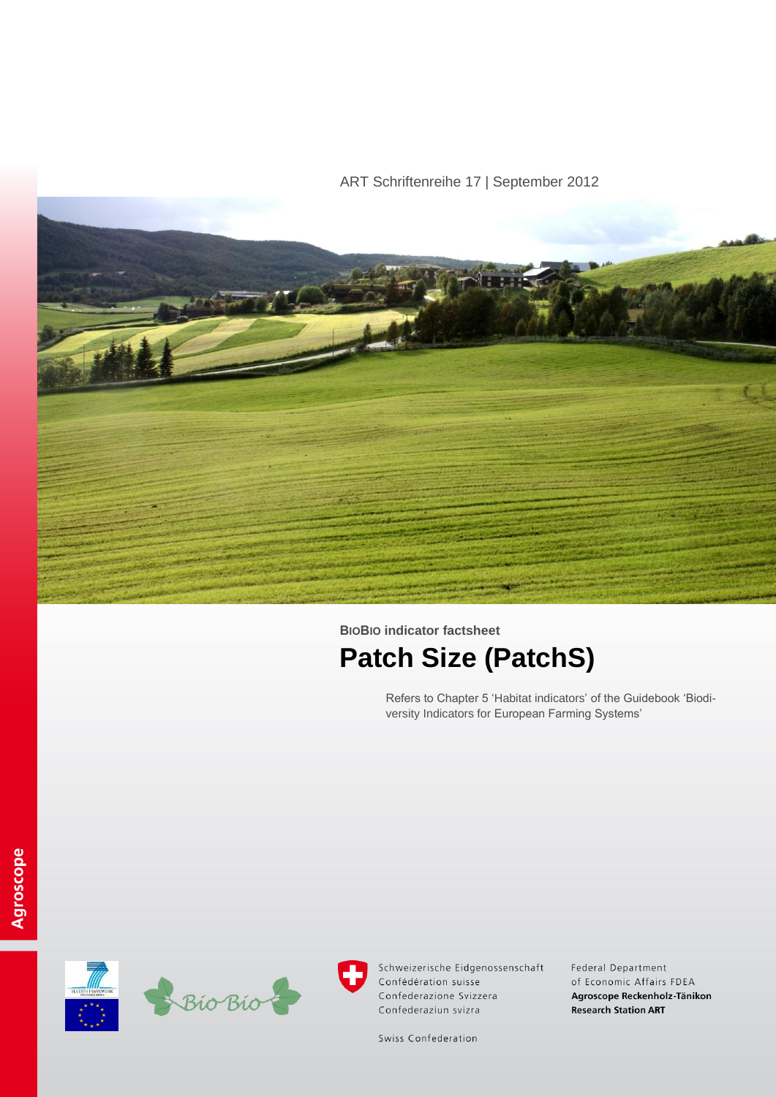# ART Schriftenreihe 17 | September 2012



# **BIOBIO indicator factsheet Patch Size (PatchS)**

Refers to Chapter 5 'Habitat indicators' of the Guidebook 'Biodiversity Indicators for European Farming Systems'





Schweizerische Eidgenossenschaft Confédération suisse Confederazione Svizzera Confederaziun svizra

Federal Department of Economic Affairs FDEA Agroscope Reckenholz-Tänikon **Research Station ART** 

Swiss Confederation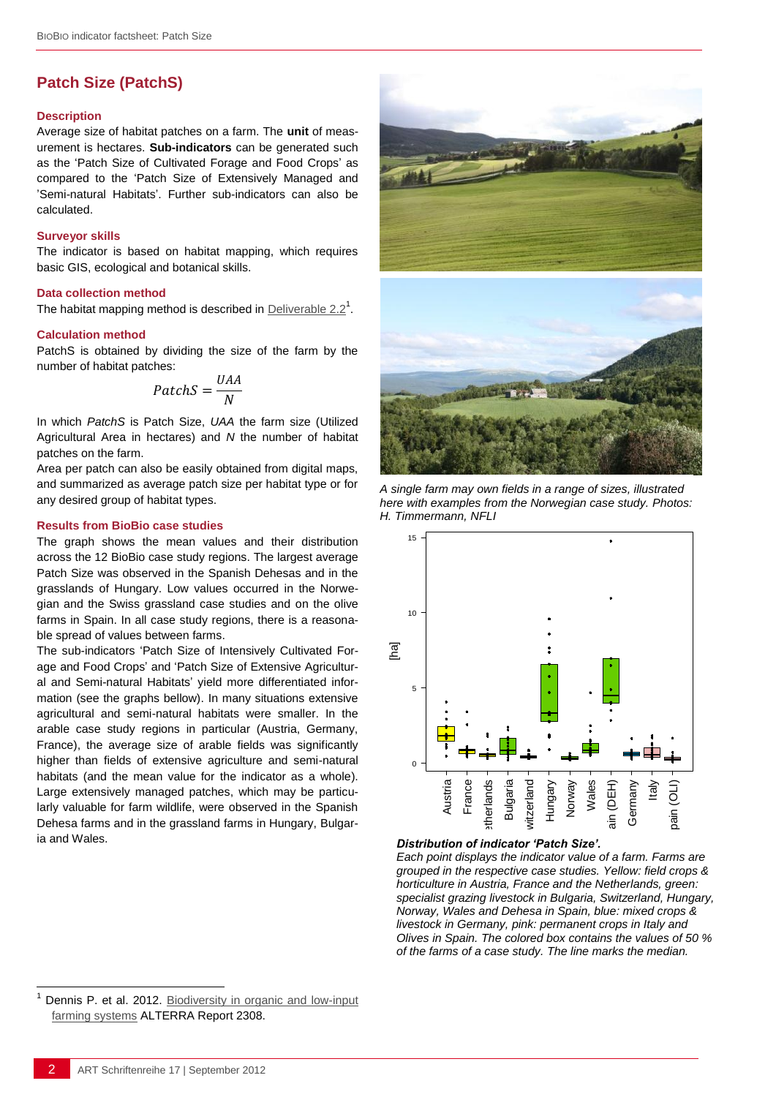# **Patch Size (PatchS)**

#### **Description**

Average size of habitat patches on a farm. The **unit** of measurement is hectares. **Sub-indicators** can be generated such as the 'Patch Size of Cultivated Forage and Food Crops' as compared to the 'Patch Size of Extensively Managed and 'Semi-natural Habitats'. Further sub-indicators can also be calculated.

#### **Surveyor skills**

The indicator is based on habitat mapping, which requires basic GIS, ecological and botanical skills.

#### **Data collection method**

The habitat mapping method is described in **Deliverable 2.2**<sup>1</sup>.

#### **Calculation method**

PatchS is obtained by dividing the size of the farm by the number of habitat patches:

$$
Patches = \frac{UAA}{N}
$$

In which *PatchS* is Patch Size, *UAA* the farm size (Utilized Agricultural Area in hectares) and *N* the number of habitat patches on the farm.

Area per patch can also be easily obtained from digital maps, and summarized as average patch size per habitat type or for any desired group of habitat types.

#### **Results from BioBio case studies**

The graph shows the mean values and their distribution across the 12 BioBio case study regions. The largest average Patch Size was observed in the Spanish Dehesas and in the grasslands of Hungary. Low values occurred in the Norwegian and the Swiss grassland case studies and on the olive farms in Spain. In all case study regions, there is a reasonable spread of values between farms.

The sub-indicators 'Patch Size of Intensively Cultivated Forage and Food Crops' and 'Patch Size of Extensive Agricultural and Semi-natural Habitats' yield more differentiated information (see the graphs bellow). In many situations extensive agricultural and semi-natural habitats were smaller. In the arable case study regions in particular (Austria, Germany, France), the average size of arable fields was significantly higher than fields of extensive agriculture and semi-natural habitats (and the mean value for the indicator as a whole). Large extensively managed patches, which may be particularly valuable for farm wildlife, were observed in the Spanish Dehesa farms and in the grassland farms in Hungary, Bulgaria and Wales.



*A single farm may own fields in a range of sizes, illustrated here with examples from the Norwegian case study. Photos: H. Timmermann, NFLI*



### *Distribution of indicator 'Patch Size'.*

*Each point displays the indicator value of a farm. Farms are grouped in the respective case studies. Yellow: field crops & horticulture in Austria, France and the Netherlands, green: specialist grazing livestock in Bulgaria, Switzerland, Hungary, Norway, Wales and Dehesa in Spain, blue: mixed crops & livestock in Germany, pink: permanent crops in Italy and Olives in Spain. The colored box contains the values of 50 % of the farms of a case study. The line marks the median.*

l

Dennis P. et al. 2012. Biodiversity in organic and low-input [farming systems](http://www.biobio-indicator.org/deliverables.php) ALTERRA Report 2308.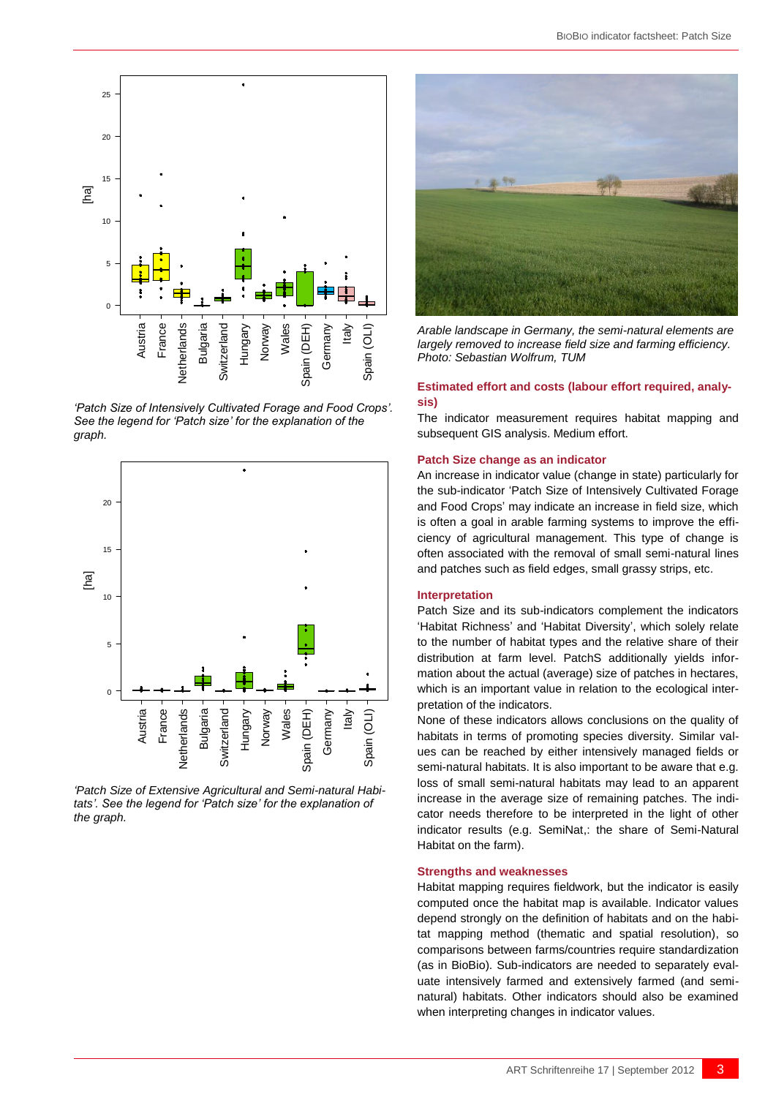

*'Patch Size of Intensively Cultivated Forage and Food Crops'. See the legend for 'Patch size' for the explanation of the graph.*



*'Patch Size of Extensive Agricultural and Semi-natural Habitats'. See the legend for 'Patch size' for the explanation of the graph.*



*Arable landscape in Germany, the semi-natural elements are largely removed to increase field size and farming efficiency. Photo: Sebastian Wolfrum, TUM*

#### **Estimated effort and costs (labour effort required, analysis)**

The indicator measurement requires habitat mapping and subsequent GIS analysis. Medium effort.

#### **Patch Size change as an indicator**

An increase in indicator value (change in state) particularly for the sub-indicator 'Patch Size of Intensively Cultivated Forage and Food Crops' may indicate an increase in field size, which is often a goal in arable farming systems to improve the efficiency of agricultural management. This type of change is often associated with the removal of small semi-natural lines and patches such as field edges, small grassy strips, etc.

#### **Interpretation**

Patch Size and its sub-indicators complement the indicators 'Habitat Richness' and 'Habitat Diversity', which solely relate to the number of habitat types and the relative share of their distribution at farm level. PatchS additionally yields information about the actual (average) size of patches in hectares, which is an important value in relation to the ecological interpretation of the indicators.

None of these indicators allows conclusions on the quality of habitats in terms of promoting species diversity. Similar values can be reached by either intensively managed fields or semi-natural habitats. It is also important to be aware that e.g. loss of small semi-natural habitats may lead to an apparent increase in the average size of remaining patches. The indicator needs therefore to be interpreted in the light of other indicator results (e.g. SemiNat,: the share of Semi-Natural Habitat on the farm).

#### **Strengths and weaknesses**

Habitat mapping requires fieldwork, but the indicator is easily computed once the habitat map is available. Indicator values depend strongly on the definition of habitats and on the habitat mapping method (thematic and spatial resolution), so comparisons between farms/countries require standardization (as in BioBio). Sub-indicators are needed to separately evaluate intensively farmed and extensively farmed (and seminatural) habitats. Other indicators should also be examined when interpreting changes in indicator values.